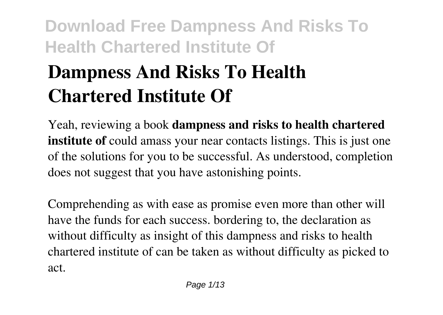# **Dampness And Risks To Health Chartered Institute Of**

Yeah, reviewing a book **dampness and risks to health chartered institute of** could amass your near contacts listings. This is just one of the solutions for you to be successful. As understood, completion does not suggest that you have astonishing points.

Comprehending as with ease as promise even more than other will have the funds for each success. bordering to, the declaration as without difficulty as insight of this dampness and risks to health chartered institute of can be taken as without difficulty as picked to act.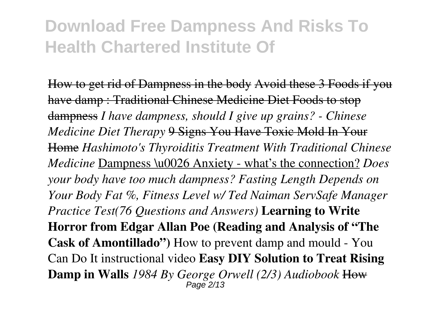How to get rid of Dampness in the body Avoid these 3 Foods if you have damp : Traditional Chinese Medicine Diet Foods to stop dampness *I have dampness, should I give up grains? - Chinese Medicine Diet Therapy* 9 Signs You Have Toxic Mold In Your Home *Hashimoto's Thyroiditis Treatment With Traditional Chinese Medicine* Dampness \u0026 Anxiety - what's the connection? *Does your body have too much dampness? Fasting Length Depends on Your Body Fat %, Fitness Level w/ Ted Naiman ServSafe Manager Practice Test(76 Questions and Answers)* **Learning to Write Horror from Edgar Allan Poe (Reading and Analysis of "The Cask of Amontillado")** How to prevent damp and mould - You Can Do It instructional video **Easy DIY Solution to Treat Rising Damp in Walls** *1984 By George Orwell (2/3) Audiobook* How Page 2/13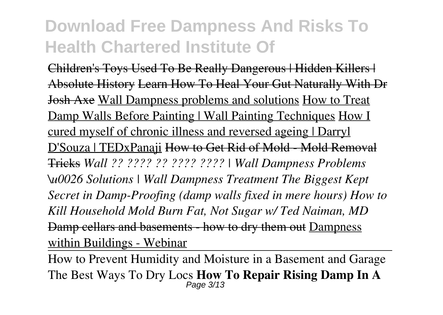Children's Toys Used To Be Really Dangerous | Hidden Killers | Absolute History Learn How To Heal Your Gut Naturally With Dr Josh Axe Wall Dampness problems and solutions How to Treat Damp Walls Before Painting | Wall Painting Techniques How I cured myself of chronic illness and reversed ageing | Darryl D'Souza | TEDxPanaji How to Get Rid of Mold - Mold Removal Tricks *Wall ?? ???? ?? ???? ???? | Wall Dampness Problems \u0026 Solutions | Wall Dampness Treatment The Biggest Kept Secret in Damp-Proofing (damp walls fixed in mere hours) How to Kill Household Mold Burn Fat, Not Sugar w/ Ted Naiman, MD* Damp cellars and basements - how to dry them out Dampness within Buildings - Webinar

How to Prevent Humidity and Moisture in a Basement and Garage The Best Ways To Dry Locs **How To Repair Rising Damp In A** Page 3/13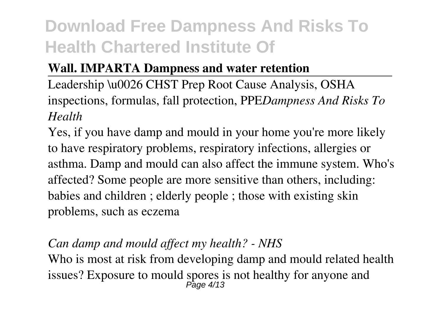#### **Wall. IMPARTA Dampness and water retention**

Leadership \u0026 CHST Prep Root Cause Analysis, OSHA inspections, formulas, fall protection, PPE*Dampness And Risks To Health*

Yes, if you have damp and mould in your home you're more likely to have respiratory problems, respiratory infections, allergies or asthma. Damp and mould can also affect the immune system. Who's affected? Some people are more sensitive than others, including: babies and children ; elderly people ; those with existing skin problems, such as eczema

#### *Can damp and mould affect my health? - NHS*

Who is most at risk from developing damp and mould related health issues? Exposure to mould spores is not healthy for anyone and Page 4/13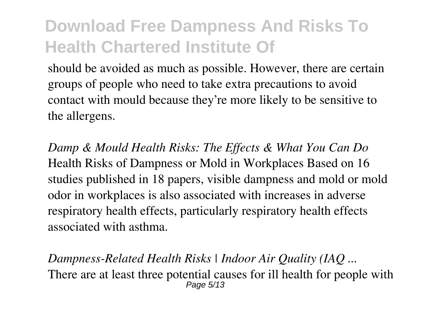should be avoided as much as possible. However, there are certain groups of people who need to take extra precautions to avoid contact with mould because they're more likely to be sensitive to the allergens.

*Damp & Mould Health Risks: The Effects & What You Can Do* Health Risks of Dampness or Mold in Workplaces Based on 16 studies published in 18 papers, visible dampness and mold or mold odor in workplaces is also associated with increases in adverse respiratory health effects, particularly respiratory health effects associated with asthma.

*Dampness-Related Health Risks | Indoor Air Quality (IAQ ...* There are at least three potential causes for ill health for people with Page 5/13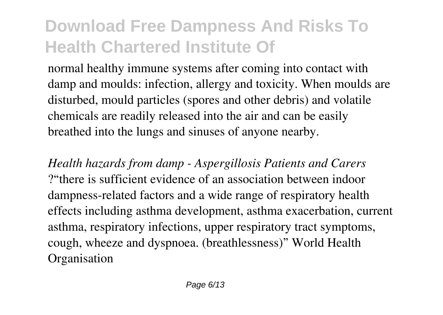normal healthy immune systems after coming into contact with damp and moulds: infection, allergy and toxicity. When moulds are disturbed, mould particles (spores and other debris) and volatile chemicals are readily released into the air and can be easily breathed into the lungs and sinuses of anyone nearby.

*Health hazards from damp - Aspergillosis Patients and Carers* ?"there is sufficient evidence of an association between indoor dampness-related factors and a wide range of respiratory health effects including asthma development, asthma exacerbation, current asthma, respiratory infections, upper respiratory tract symptoms, cough, wheeze and dyspnoea. (breathlessness)" World Health **Organisation**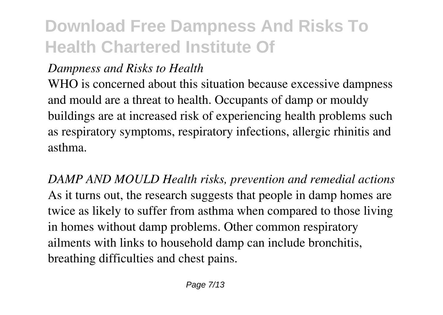#### *Dampness and Risks to Health*

WHO is concerned about this situation because excessive dampness and mould are a threat to health. Occupants of damp or mouldy buildings are at increased risk of experiencing health problems such as respiratory symptoms, respiratory infections, allergic rhinitis and asthma.

*DAMP AND MOULD Health risks, prevention and remedial actions* As it turns out, the research suggests that people in damp homes are twice as likely to suffer from asthma when compared to those living in homes without damp problems. Other common respiratory ailments with links to household damp can include bronchitis, breathing difficulties and chest pains.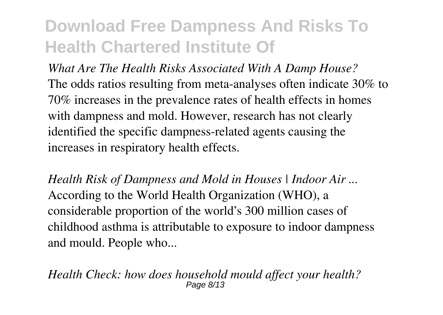*What Are The Health Risks Associated With A Damp House?* The odds ratios resulting from meta-analyses often indicate 30% to 70% increases in the prevalence rates of health effects in homes with dampness and mold. However, research has not clearly identified the specific dampness-related agents causing the increases in respiratory health effects.

*Health Risk of Dampness and Mold in Houses | Indoor Air ...* According to the World Health Organization (WHO), a considerable proportion of the world's 300 million cases of childhood asthma is attributable to exposure to indoor dampness and mould. People who...

*Health Check: how does household mould affect your health?* Page 8/13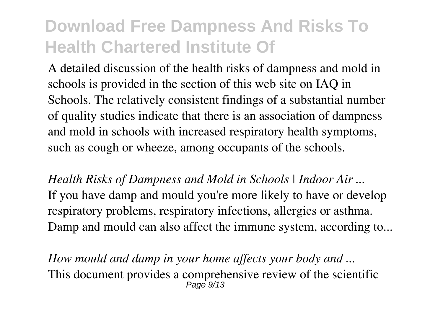A detailed discussion of the health risks of dampness and mold in schools is provided in the section of this web site on IAQ in Schools. The relatively consistent findings of a substantial number of quality studies indicate that there is an association of dampness and mold in schools with increased respiratory health symptoms, such as cough or wheeze, among occupants of the schools.

*Health Risks of Dampness and Mold in Schools | Indoor Air ...* If you have damp and mould you're more likely to have or develop respiratory problems, respiratory infections, allergies or asthma. Damp and mould can also affect the immune system, according to...

*How mould and damp in your home affects your body and ...* This document provides a comprehensive review of the scientific  $P$ age  $9/13$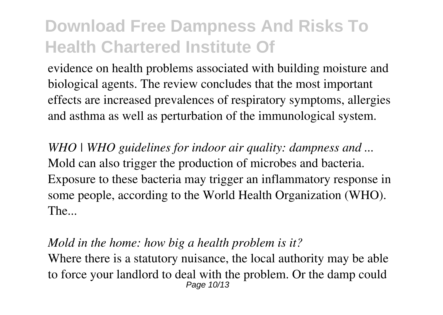evidence on health problems associated with building moisture and biological agents. The review concludes that the most important effects are increased prevalences of respiratory symptoms, allergies and asthma as well as perturbation of the immunological system.

*WHO | WHO guidelines for indoor air quality: dampness and ...* Mold can also trigger the production of microbes and bacteria. Exposure to these bacteria may trigger an inflammatory response in some people, according to the World Health Organization (WHO). The...

#### *Mold in the home: how big a health problem is it?*

Where there is a statutory nuisance, the local authority may be able to force your landlord to deal with the problem. Or the damp could Page 10/13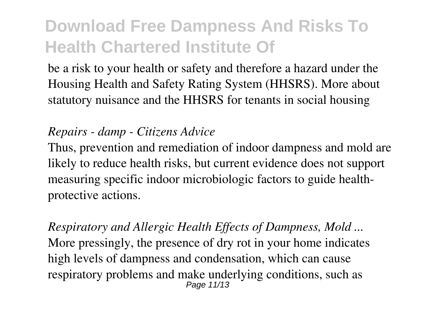be a risk to your health or safety and therefore a hazard under the Housing Health and Safety Rating System (HHSRS). More about statutory nuisance and the HHSRS for tenants in social housing

#### *Repairs - damp - Citizens Advice*

Thus, prevention and remediation of indoor dampness and mold are likely to reduce health risks, but current evidence does not support measuring specific indoor microbiologic factors to guide healthprotective actions.

*Respiratory and Allergic Health Effects of Dampness, Mold ...* More pressingly, the presence of dry rot in your home indicates high levels of dampness and condensation, which can cause respiratory problems and make underlying conditions, such as Page 11/13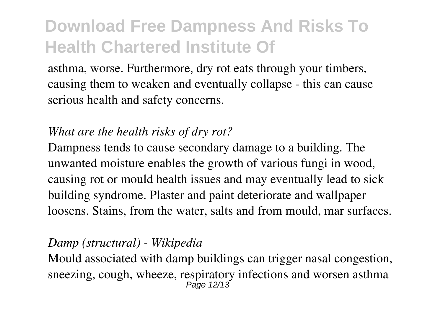asthma, worse. Furthermore, dry rot eats through your timbers, causing them to weaken and eventually collapse - this can cause serious health and safety concerns.

#### *What are the health risks of dry rot?*

Dampness tends to cause secondary damage to a building. The unwanted moisture enables the growth of various fungi in wood, causing rot or mould health issues and may eventually lead to sick building syndrome. Plaster and paint deteriorate and wallpaper loosens. Stains, from the water, salts and from mould, mar surfaces.

#### *Damp (structural) - Wikipedia*

Mould associated with damp buildings can trigger nasal congestion, sneezing, cough, wheeze, respiratory infections and worsen asthma Page 12/13